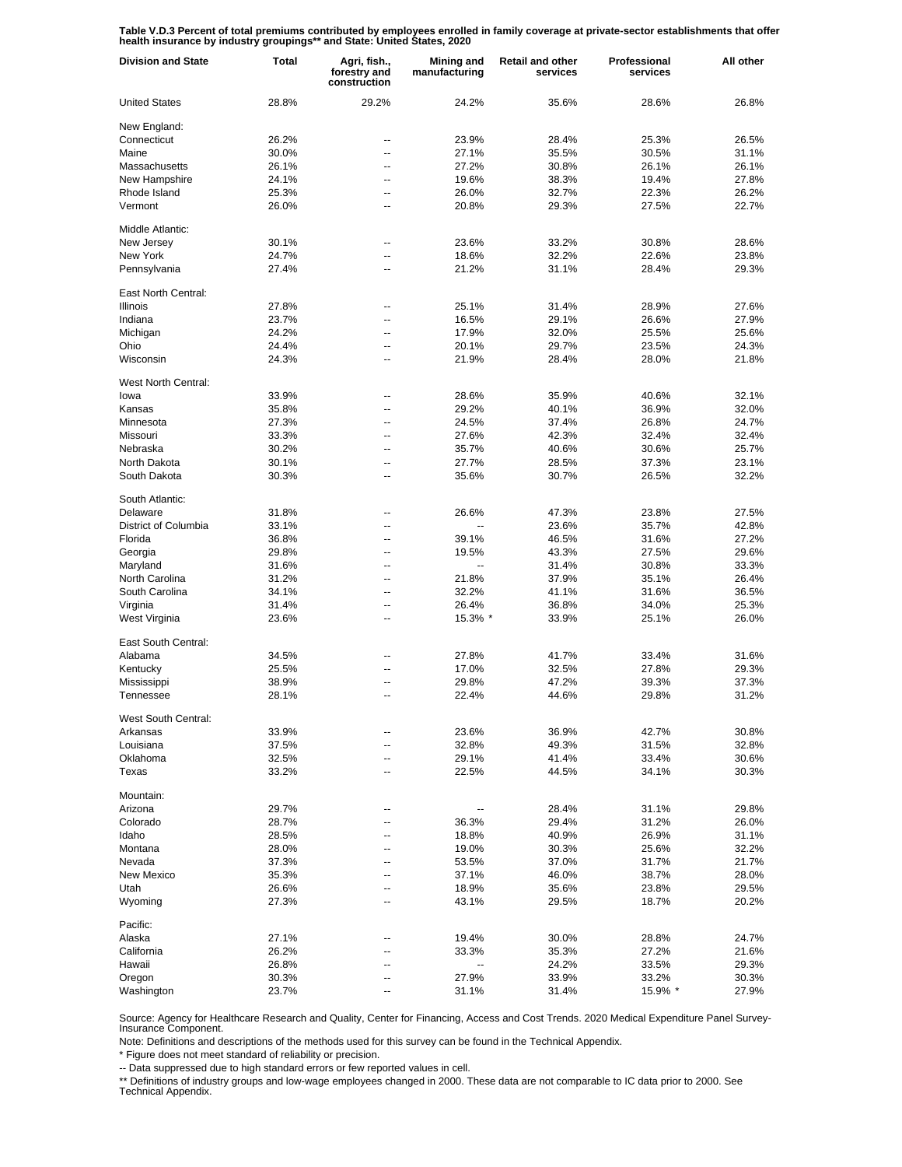**Table V.D.3 Percent of total premiums contributed by employees enrolled in family coverage at private-sector establishments that offer health insurance by industry groupings\*\* and State: United States, 2020**

| <b>Division and State</b>        | Total | Agri, fish.,<br>forestry and<br>construction | <b>Mining and</b><br>manufacturing | <b>Retail and other</b><br>services | Professional<br>services | All other      |
|----------------------------------|-------|----------------------------------------------|------------------------------------|-------------------------------------|--------------------------|----------------|
| <b>United States</b>             | 28.8% | 29.2%                                        | 24.2%                              | 35.6%                               | 28.6%                    | 26.8%          |
| New England:                     |       |                                              |                                    |                                     |                          |                |
| Connecticut                      | 26.2% | --                                           | 23.9%                              | 28.4%                               | 25.3%                    | 26.5%          |
| Maine                            | 30.0% | --                                           | 27.1%                              | 35.5%                               | 30.5%                    | 31.1%          |
| Massachusetts                    | 26.1% | --                                           | 27.2%                              | 30.8%                               | 26.1%                    | 26.1%          |
| New Hampshire                    | 24.1% | --                                           | 19.6%                              | 38.3%                               | 19.4%                    | 27.8%          |
| Rhode Island                     | 25.3% | --                                           | 26.0%                              | 32.7%                               | 22.3%                    | 26.2%          |
| Vermont                          | 26.0% | --                                           | 20.8%                              | 29.3%                               | 27.5%                    | 22.7%          |
| Middle Atlantic:                 |       |                                              |                                    |                                     |                          |                |
| New Jersey                       | 30.1% | --                                           | 23.6%                              | 33.2%                               | 30.8%                    | 28.6%          |
| New York                         | 24.7% | --                                           | 18.6%                              | 32.2%                               | 22.6%                    | 23.8%          |
| Pennsylvania                     | 27.4% | --                                           | 21.2%                              | 31.1%                               | 28.4%                    | 29.3%          |
| East North Central:              |       |                                              |                                    |                                     |                          |                |
| <b>Illinois</b>                  | 27.8% | Ξ.                                           | 25.1%                              | 31.4%                               | 28.9%                    | 27.6%          |
| Indiana                          | 23.7% | --                                           | 16.5%                              | 29.1%                               | 26.6%                    | 27.9%          |
| Michigan                         | 24.2% | --                                           | 17.9%                              | 32.0%                               | 25.5%                    | 25.6%          |
| Ohio                             | 24.4% | --                                           | 20.1%                              | 29.7%                               | 23.5%                    | 24.3%          |
| Wisconsin                        | 24.3% | --                                           | 21.9%                              | 28.4%                               | 28.0%                    | 21.8%          |
| West North Central:              |       |                                              |                                    |                                     |                          |                |
| lowa                             | 33.9% | --                                           | 28.6%                              | 35.9%                               | 40.6%                    | 32.1%          |
| Kansas                           | 35.8% | --                                           | 29.2%                              | 40.1%                               | 36.9%                    | 32.0%          |
| Minnesota                        | 27.3% | --                                           | 24.5%                              | 37.4%                               | 26.8%                    | 24.7%          |
| Missouri                         | 33.3% | --                                           | 27.6%                              | 42.3%                               | 32.4%                    | 32.4%          |
| Nebraska                         | 30.2% | --                                           | 35.7%                              | 40.6%                               | 30.6%                    | 25.7%          |
| North Dakota                     | 30.1% | --                                           | 27.7%                              | 28.5%                               | 37.3%                    | 23.1%          |
| South Dakota                     | 30.3% | --                                           | 35.6%                              | 30.7%                               | 26.5%                    | 32.2%          |
|                                  |       |                                              |                                    |                                     |                          |                |
| South Atlantic:                  |       |                                              |                                    |                                     |                          |                |
| Delaware<br>District of Columbia | 31.8% | --                                           | 26.6%<br>Ξ.                        | 47.3%                               | 23.8%                    | 27.5%<br>42.8% |
|                                  | 33.1% | --                                           |                                    | 23.6%                               | 35.7%                    |                |
| Florida                          | 36.8% | --                                           | 39.1%                              | 46.5%                               | 31.6%                    | 27.2%          |
| Georgia                          | 29.8% | --                                           | 19.5%                              | 43.3%                               | 27.5%                    | 29.6%          |
| Maryland                         | 31.6% | --                                           | --                                 | 31.4%                               | 30.8%                    | 33.3%          |
| North Carolina                   | 31.2% | --                                           | 21.8%                              | 37.9%                               | 35.1%                    | 26.4%          |
| South Carolina                   | 34.1% | --                                           | 32.2%                              | 41.1%                               | 31.6%                    | 36.5%          |
| Virginia                         | 31.4% | --                                           | 26.4%                              | 36.8%                               | 34.0%                    | 25.3%          |
| West Virginia                    | 23.6% | --                                           | 15.3% *                            | 33.9%                               | 25.1%                    | 26.0%          |
| East South Central:              |       |                                              |                                    |                                     |                          |                |
| Alabama                          | 34.5% | --                                           | 27.8%                              | 41.7%                               | 33.4%                    | 31.6%          |
| Kentucky                         | 25.5% | --                                           | 17.0%                              | 32.5%                               | 27.8%                    | 29.3%          |
| Mississippi                      | 38.9% | --                                           | 29.8%                              | 47.2%                               | 39.3%                    | 37.3%          |
| Tennessee                        | 28.1% | --                                           | 22.4%                              | 44.6%                               | 29.8%                    | 31.2%          |
| West South Central:              |       |                                              |                                    |                                     |                          |                |
| Arkansas                         | 33.9% |                                              | 23.6%                              | 36.9%                               | 42.7%                    | 30.8%          |
| Louisiana                        | 37.5% | --                                           | 32.8%                              | 49.3%                               | 31.5%                    | 32.8%          |
| Oklahoma                         | 32.5% | --                                           | 29.1%                              | 41.4%                               | 33.4%                    | 30.6%          |
| Texas                            | 33.2% | --                                           | 22.5%                              | 44.5%                               | 34.1%                    | 30.3%          |
| Mountain:                        |       |                                              |                                    |                                     |                          |                |
| Arizona                          | 29.7% | ٠.                                           | ۰.                                 | 28.4%                               | 31.1%                    | 29.8%          |
| Colorado                         | 28.7% | ٠.                                           | 36.3%                              | 29.4%                               | 31.2%                    | 26.0%          |
| Idaho                            | 28.5% | ٠.                                           | 18.8%                              | 40.9%                               | 26.9%                    | 31.1%          |
| Montana                          | 28.0% | --                                           | 19.0%                              | 30.3%                               | 25.6%                    | 32.2%          |
| Nevada                           | 37.3% |                                              | 53.5%                              | 37.0%                               | 31.7%                    | 21.7%          |
| New Mexico                       | 35.3% |                                              | 37.1%                              | 46.0%                               | 38.7%                    | 28.0%          |
| Utah                             | 26.6% | ٠.                                           | 18.9%                              | 35.6%                               | 23.8%                    | 29.5%          |
| Wyoming                          | 27.3% |                                              | 43.1%                              | 29.5%                               | 18.7%                    | 20.2%          |
| Pacific:                         |       |                                              |                                    |                                     |                          |                |
| Alaska                           | 27.1% |                                              | 19.4%                              | 30.0%                               | 28.8%                    | 24.7%          |
| California                       | 26.2% |                                              | 33.3%                              | 35.3%                               | 27.2%                    | 21.6%          |
| Hawaii                           | 26.8% | ц,                                           | --                                 | 24.2%                               | 33.5%                    | 29.3%          |
| Oregon                           | 30.3% |                                              | 27.9%                              | 33.9%                               | 33.2%                    | 30.3%          |
| Washington                       | 23.7% |                                              | 31.1%                              | 31.4%                               | 15.9% *                  | 27.9%          |

Source: Agency for Healthcare Research and Quality, Center for Financing, Access and Cost Trends. 2020 Medical Expenditure Panel Survey-Insurance Component.

Note: Definitions and descriptions of the methods used for this survey can be found in the Technical Appendix.

\* Figure does not meet standard of reliability or precision.

-- Data suppressed due to high standard errors or few reported values in cell.

\*\* Definitions of industry groups and low-wage employees changed in 2000. These data are not comparable to IC data prior to 2000. See Technical Appendix.